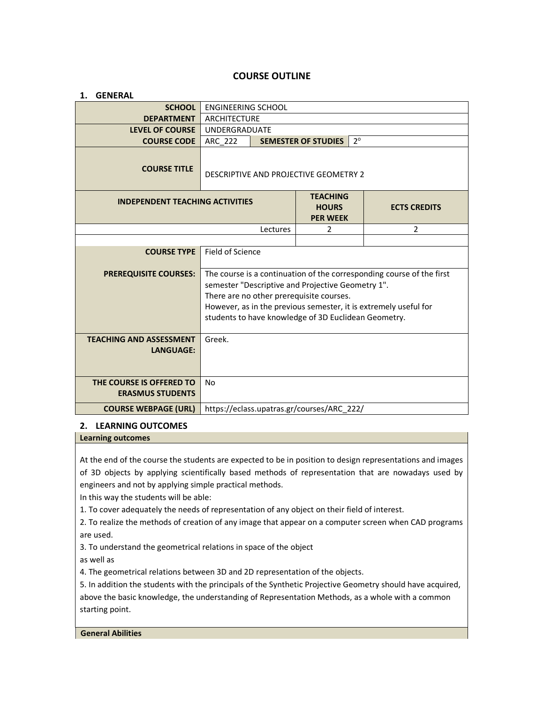# **COURSE OUTLINE**

| <b>GENERAL</b><br>1.                                |                                                                                                                                                                                                                                                                                                    |                                 |                 |                     |   |
|-----------------------------------------------------|----------------------------------------------------------------------------------------------------------------------------------------------------------------------------------------------------------------------------------------------------------------------------------------------------|---------------------------------|-----------------|---------------------|---|
| <b>SCHOOL</b>                                       | <b>ENGINEERING SCHOOL</b>                                                                                                                                                                                                                                                                          |                                 |                 |                     |   |
| <b>DEPARTMENT</b>                                   | <b>ARCHITECTURE</b>                                                                                                                                                                                                                                                                                |                                 |                 |                     |   |
| <b>LEVEL OF COURSE</b>                              | <b>UNDERGRADUATE</b>                                                                                                                                                                                                                                                                               |                                 |                 |                     |   |
| <b>COURSE CODE</b>                                  | $2^{\circ}$<br><b>SEMESTER OF STUDIES</b><br>ARC 222                                                                                                                                                                                                                                               |                                 |                 |                     |   |
| <b>COURSE TITLE</b>                                 | DESCRIPTIVE AND PROJECTIVE GEOMETRY 2                                                                                                                                                                                                                                                              |                                 |                 |                     |   |
| <b>INDEPENDENT TEACHING ACTIVITIES</b>              |                                                                                                                                                                                                                                                                                                    | <b>TEACHING</b><br><b>HOURS</b> |                 | <b>ECTS CREDITS</b> |   |
|                                                     |                                                                                                                                                                                                                                                                                                    |                                 | <b>PER WEEK</b> |                     |   |
| Lectures                                            |                                                                                                                                                                                                                                                                                                    |                                 | 2               |                     | 2 |
|                                                     |                                                                                                                                                                                                                                                                                                    |                                 |                 |                     |   |
| <b>COURSE TYPE</b>                                  | Field of Science                                                                                                                                                                                                                                                                                   |                                 |                 |                     |   |
| <b>PREREQUISITE COURSES:</b>                        | The course is a continuation of the corresponding course of the first<br>semester "Descriptive and Projective Geometry 1".<br>There are no other prerequisite courses.<br>However, as in the previous semester, it is extremely useful for<br>students to have knowledge of 3D Euclidean Geometry. |                                 |                 |                     |   |
| <b>TEACHING AND ASSESSMENT</b><br><b>LANGUAGE:</b>  | Greek.                                                                                                                                                                                                                                                                                             |                                 |                 |                     |   |
| THE COURSE IS OFFERED TO<br><b>ERASMUS STUDENTS</b> | No                                                                                                                                                                                                                                                                                                 |                                 |                 |                     |   |
| <b>COURSE WEBPAGE (URL)</b>                         | https://eclass.upatras.gr/courses/ARC 222/                                                                                                                                                                                                                                                         |                                 |                 |                     |   |

### **2. LEARNING OUTCOMES**

**Learning outcomes**

At the end of the course the students are expected to be in position to design representations and images of 3D objects by applying scientifically based methods of representation that are nowadays used by engineers and not by applying simple practical methods.

In this way the students will be able:

1. To cover adequately the needs of representation of any object on their field of interest.

2. To realize the methods of creation of any image that appear on a computer screen when CAD programs are used.

3. To understand the geometrical relations in space of the object

as well as

4. The geometrical relations between 3D and 2D representation of the objects.

5. In addition the students with the principals of the Synthetic Projective Geometry should have acquired, above the basic knowledge, the understanding of Representation Methods, as a whole with a common starting point.

#### **General Abilities**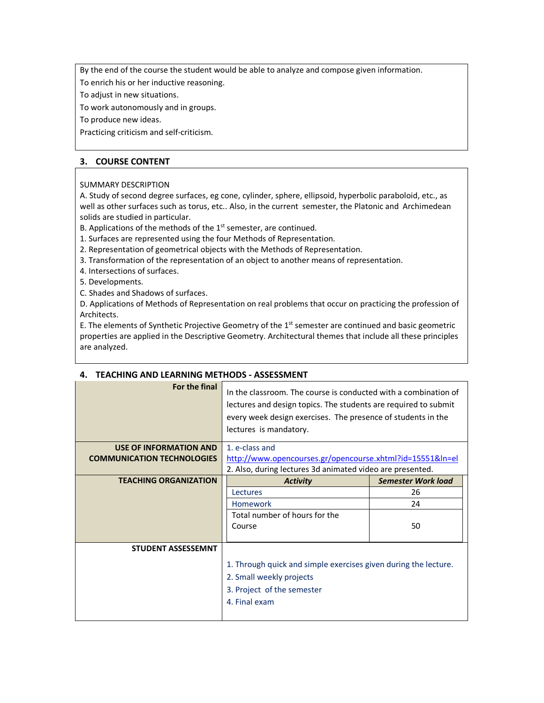By the end of the course the student would be able to analyze and compose given information.

To enrich his or her inductive reasoning.

To adjust in new situations.

To work autonomously and in groups.

To produce new ideas.

Practicing criticism and self-criticism.

# **3. COURSE CONTENT**

## SUMMARY DESCRIPTION

A. Study of second degree surfaces, eg cone, cylinder, sphere, ellipsoid, hyperbolic paraboloid, etc., as well as other surfaces such as torus, etc.. Also, in the current semester, the Platonic and Archimedean solids are studied in particular.

B. Applications of the methods of the  $1<sup>st</sup>$  semester, are continued.

1. Surfaces are represented using the four Methods of Representation.

2. Representation of geometrical objects with the Methods of Representation.

3. Transformation of the representation of an object to another means of representation.

4. Intersections of surfaces.

5. Developments.

C. Shades and Shadows of surfaces.

D. Applications of Methods of Representation on real problems that occur on practicing the profession of Architects.

E. The elements of Synthetic Projective Geometry of the  $1<sup>st</sup>$  semester are continued and basic geometric properties are applied in the Descriptive Geometry. Architectural themes that include all these principles are analyzed.

# **4. TEACHING AND LEARNING METHODS - ΑSSESSMENT**

| For the final                     | In the classroom. The course is conducted with a combination of<br>lectures and design topics. The students are required to submit<br>every week design exercises. The presence of students in the<br>lectures is mandatory. |                           |  |
|-----------------------------------|------------------------------------------------------------------------------------------------------------------------------------------------------------------------------------------------------------------------------|---------------------------|--|
| USE OF INFORMATION AND            | 1. e-class and                                                                                                                                                                                                               |                           |  |
| <b>COMMUNICATION TECHNOLOGIES</b> | http://www.opencourses.gr/opencourse.xhtml?id=15551&ln=el                                                                                                                                                                    |                           |  |
|                                   | 2. Also, during lectures 3d animated video are presented.                                                                                                                                                                    |                           |  |
| <b>TEACHING ORGANIZATION</b>      | <b>Activity</b>                                                                                                                                                                                                              | <b>Semester Work load</b> |  |
|                                   | Lectures                                                                                                                                                                                                                     | 26                        |  |
|                                   | Homework                                                                                                                                                                                                                     | 24                        |  |
|                                   | Total number of hours for the<br>Course                                                                                                                                                                                      | 50                        |  |
| <b>STUDENT ASSESSEMNT</b>         |                                                                                                                                                                                                                              |                           |  |
|                                   | 1. Through quick and simple exercises given during the lecture.<br>2. Small weekly projects<br>3. Project of the semester<br>4. Final exam                                                                                   |                           |  |